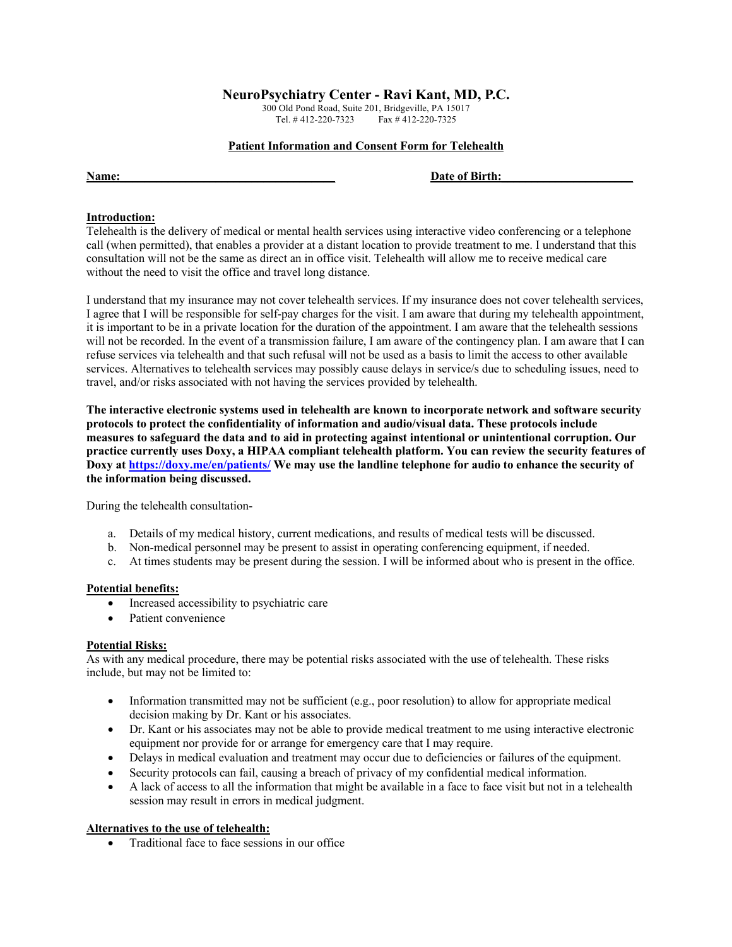# **NeuroPsychiatry Center - Ravi Kant, MD, P.C.**

300 Old Pond Road, Suite 201, Bridgeville, PA 15017 Tel. # 412-220-7323 Fax # 412-220-7325

#### **Patient Information and Consent Form for Telehealth**

#### Name: **Date of Birth:**

# **Introduction:**

Telehealth is the delivery of medical or mental health services using interactive video conferencing or a telephone call (when permitted), that enables a provider at a distant location to provide treatment to me. I understand that this consultation will not be the same as direct an in office visit. Telehealth will allow me to receive medical care without the need to visit the office and travel long distance.

I understand that my insurance may not cover telehealth services. If my insurance does not cover telehealth services, I agree that I will be responsible for self-pay charges for the visit. I am aware that during my telehealth appointment, it is important to be in a private location for the duration of the appointment. I am aware that the telehealth sessions will not be recorded. In the event of a transmission failure, I am aware of the contingency plan. I am aware that I can refuse services via telehealth and that such refusal will not be used as a basis to limit the access to other available services. Alternatives to telehealth services may possibly cause delays in service/s due to scheduling issues, need to travel, and/or risks associated with not having the services provided by telehealth.

**The interactive electronic systems used in telehealth are known to incorporate network and software security protocols to protect the confidentiality of information and audio/visual data. These protocols include measures to safeguard the data and to aid in protecting against intentional or unintentional corruption. Our practice currently uses Doxy, a HIPAA compliant telehealth platform. You can review the security features of Doxy at https://doxy.me/en/patients/ We may use the landline telephone for audio to enhance the security of the information being discussed.** 

During the telehealth consultation-

- a. Details of my medical history, current medications, and results of medical tests will be discussed.
- b. Non-medical personnel may be present to assist in operating conferencing equipment, if needed.
- c. At times students may be present during the session. I will be informed about who is present in the office.

## **Potential benefits:**

- Increased accessibility to psychiatric care
- Patient convenience

## **Potential Risks:**

As with any medical procedure, there may be potential risks associated with the use of telehealth. These risks include, but may not be limited to:

- Information transmitted may not be sufficient (e.g., poor resolution) to allow for appropriate medical decision making by Dr. Kant or his associates.
- Dr. Kant or his associates may not be able to provide medical treatment to me using interactive electronic equipment nor provide for or arrange for emergency care that I may require.
- Delays in medical evaluation and treatment may occur due to deficiencies or failures of the equipment.
- Security protocols can fail, causing a breach of privacy of my confidential medical information.
- A lack of access to all the information that might be available in a face to face visit but not in a telehealth session may result in errors in medical judgment.

# **Alternatives to the use of telehealth:**

• Traditional face to face sessions in our office